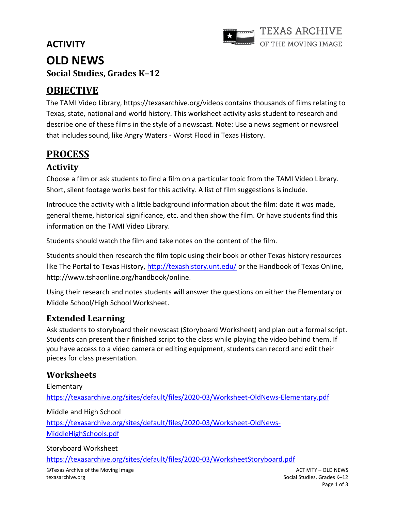# **ACTIVITY OLD NEWS Social Studies, Grades K–12**



# **OBJECTIVE**

The TAMI Video Library,<https://texasarchive.org/videos> contains thousands of films relating to Texas, state, national and world history. This worksheet activity asks student to research and describe one of these films in the style of a newscast. Note: Use a news segment or newsreel that includes sound, like Angry Waters - Worst Flood in Texas History.

## **PROCESS**

## **Activity**

Choose a film or ask students to find a film on a particular topic from the TAMI Video Library. Short, silent footage works best for this activity. A list of film suggestions is include.

Introduce the activity with a little background information about the film: date it was made, general theme, historical significance, etc. and then show the film. Or have students find this information on the TAMI Video Library.

Students should watch the film and take notes on the content of the film.

Students should then research the film topic using their book or other Texas history resources like The Portal to Texas History,<http://texashistory.unt.edu/> or the Handbook of Texas Online, http://www.tshaonline.org/handbook/online.

Using their research and notes students will answer the questions on either the Elementary or Middle School/High School Worksheet.

## **Extended Learning**

Ask students to storyboard their newscast (Storyboard Worksheet) and plan out a formal script. Students can present their finished script to the class while playing the video behind them. If you have access to a video camera or editing equipment, students can record and edit their pieces for class presentation.

## **Worksheets**

Elementary <https://texasarchive.org/sites/default/files/2020-03/Worksheet-OldNews-Elementary.pdf> Middle and High School [https://texasarchive.org/sites/default/files/2020-03/Worksheet-OldNews-](https://texasarchive.org/sites/default/files/2020-03/Worksheet-OldNews-MiddleHighSchools.pdf)[MiddleHighSchools.pdf](https://texasarchive.org/sites/default/files/2020-03/Worksheet-OldNews-MiddleHighSchools.pdf)

Storyboard Worksheet

<https://texasarchive.org/sites/default/files/2020-03/WorksheetStoryboard.pdf>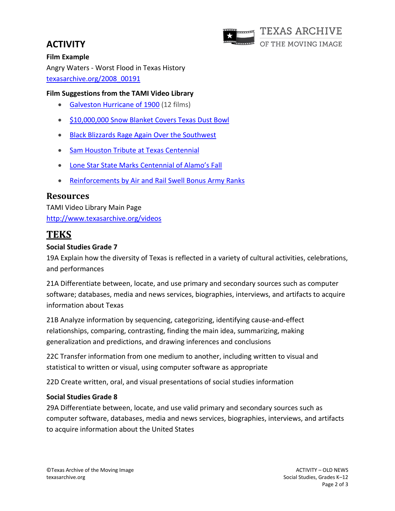# **ACTIVITY**



# **Film Example**

Angry Waters - Worst Flood in Texas History texasarchive.org/2008\_00191

## **Film Suggestions from the TAMI Video Library**

- [Galveston Hurricane of 1900](https://texasarchive.org/taxonomy/term/116427) (12 films)
- [\\$10,000,000 Snow Blanket Covers](https://texasarchive.org/2006_00060) Texas Dust Bowl
- [Black Blizzards Rage Again Over the Southwest](https://texasarchive.org/2006_00109)
- [Sam Houston Tribute at Texas Centennial](https://texasarchive.org/2006_00059)
- [Lone Star State Marks Centennial of Alamo's Fall](https://texasarchive.org/2006_00036)
- [Reinforcements by Air and Rail Swell Bonus Army Ranks](http://www.texasarchive.org/library/index.php/Reinforcements_by_Air_and_Rail_Swell_Bonus_Army_Ranks)

## **Resources**

TAMI Video Library Main Page <http://www.texasarchive.org/videos>

# **TEKS**

## **Social Studies Grade 7**

19A Explain how the diversity of Texas is reflected in a variety of cultural activities, celebrations, and performances

21A Differentiate between, locate, and use primary and secondary sources such as computer software; databases, media and news services, biographies, interviews, and artifacts to acquire information about Texas

21B Analyze information by sequencing, categorizing, identifying cause-and-effect relationships, comparing, contrasting, finding the main idea, summarizing, making generalization and predictions, and drawing inferences and conclusions

22C Transfer information from one medium to another, including written to visual and statistical to written or visual, using computer software as appropriate

22D Create written, oral, and visual presentations of social studies information

## **Social Studies Grade 8**

29A Differentiate between, locate, and use valid primary and secondary sources such as computer software, databases, media and news services, biographies, interviews, and artifacts to acquire information about the United States